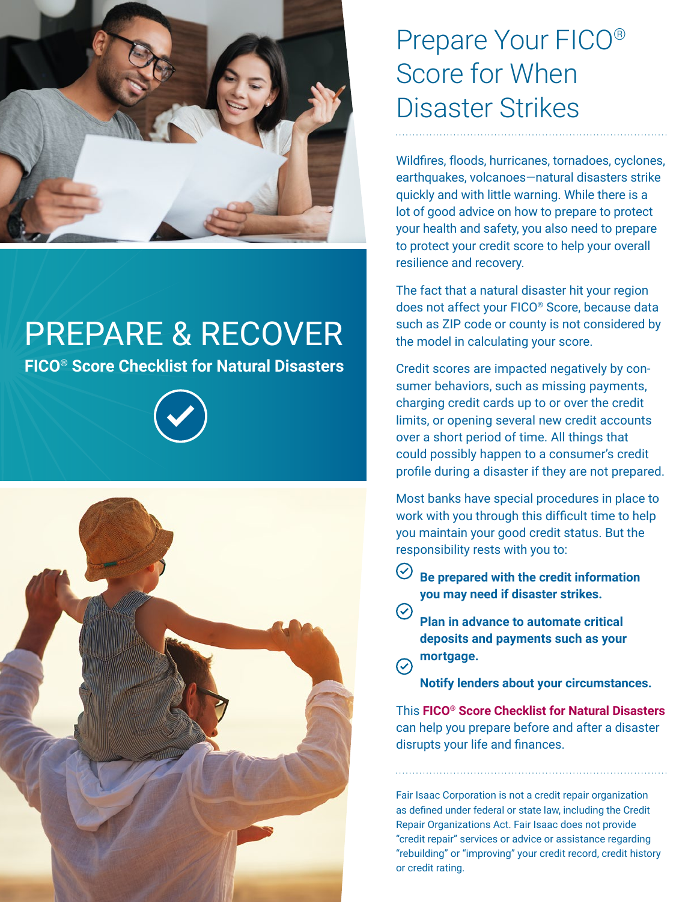

## PREPARE & RECOVER

**FICO® Score Checklist for Natural Disasters**





## Prepare Your FICO® Score for When Disaster Strikes

Wildfires, floods, hurricanes, tornadoes, cyclones, earthquakes, volcanoes—natural disasters strike quickly and with little warning. While there is a lot of good advice on how to prepare to protect your health and safety, you also need to prepare to protect your credit score to help your overall resilience and recovery.

The fact that a natural disaster hit your region does not affect your FICO® Score, because data such as ZIP code or county is not considered by the model in calculating your score.

Credit scores are impacted negatively by consumer behaviors, such as missing payments, charging credit cards up to or over the credit limits, or opening several new credit accounts over a short period of time. All things that could possibly happen to a consumer's credit profile during a disaster if they are not prepared.

Most banks have special procedures in place to work with you through this difficult time to help you maintain your good credit status. But the responsibility rests with you to:

- $\odot$ **Be prepared with the credit information you may need if disaster strikes.**
- **Plan in advance to automate critical deposits and payments such as your mortgage.**  $\odot$

**Notify lenders about your circumstances.**

This **FICO® Score Checklist for Natural Disasters** can help you prepare before and after a disaster disrupts your life and finances.

Fair Isaac Corporation is not a credit repair organization as defined under federal or state law, including the Credit Repair Organizations Act. Fair Isaac does not provide "credit repair" services or advice or assistance regarding "rebuilding" or "improving" your credit record, credit history or credit rating.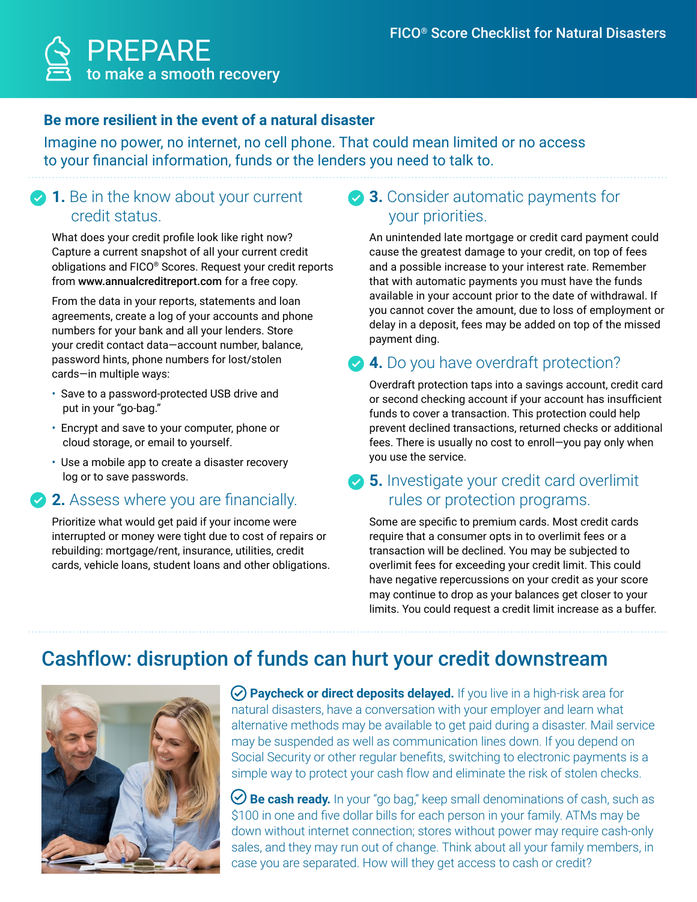

#### **Be more resilient in the event of a natural disaster**

Imagine no power, no internet, no cell phone. That could mean limited or no access to your financial information, funds or the lenders you need to talk to.

#### **1.** Be in the know about your current credit status.

What does your credit profile look like right now? Capture a current snapshot of all your current credit obligations and FICO® Scores. Request your credit reports from www.annualcreditreport.com for a free copy.

From the data in your reports, statements and loan agreements, create a log of your accounts and phone numbers for your bank and all your lenders. Store your credit contact data—account number, balance, password hints, phone numbers for lost/stolen cards—in multiple ways:

- Save to a password-protected USB drive and put in your "go-bag."
- Encrypt and save to your computer, phone or cloud storage, or email to yourself.
- Use a mobile app to create a disaster recovery log or to save passwords.

#### **2.** Assess where you are financially.

Prioritize what would get paid if your income were interrupted or money were tight due to cost of repairs or rebuilding: mortgage/rent, insurance, utilities, credit cards, vehicle loans, student loans and other obligations.

#### **3.** Consider automatic payments for your priorities.

An unintended late mortgage or credit card payment could cause the greatest damage to your credit, on top of fees and a possible increase to your interest rate. Remember that with automatic payments you must have the funds available in your account prior to the date of withdrawal. If you cannot cover the amount, due to loss of employment or delay in a deposit, fees may be added on top of the missed payment ding.

## **4.** Do you have overdraft protection?

Overdraft protection taps into a savings account, credit card or second checking account if your account has insufficient funds to cover a transaction. This protection could help prevent declined transactions, returned checks or additional fees. There is usually no cost to enroll—you pay only when you use the service.

#### **5.** Investigate your credit card overlimit rules or protection programs.

Some are specific to premium cards. Most credit cards require that a consumer opts in to overlimit fees or a transaction will be declined. You may be subjected to overlimit fees for exceeding your credit limit. This could have negative repercussions on your credit as your score may continue to drop as your balances get closer to your limits. You could request a credit limit increase as a buffer.

## Cashflow: disruption of funds can hurt your credit downstream



**Paycheck or direct deposits delayed.** If you live in a high-risk area for natural disasters, have a conversation with your employer and learn what alternative methods may be available to get paid during a disaster. Mail service may be suspended as well as communication lines down. If you depend on Social Security or other regular benefits, switching to electronic payments is a simple way to protect your cash flow and eliminate the risk of stolen checks.

**Be cash ready.** In your "go bag," keep small denominations of cash, such as \$100 in one and five dollar bills for each person in your family. ATMs may be down without internet connection; stores without power may require cash-only sales, and they may run out of change. Think about all your family members, in case you are separated. How will they get access to cash or credit?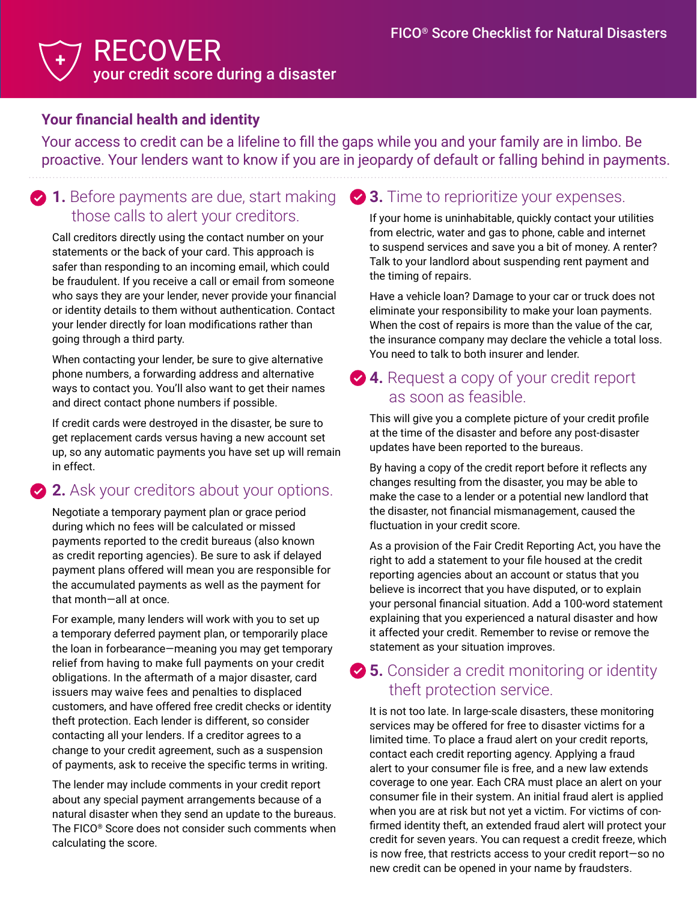#### RECOVER your credit score during a disaster **+**

#### **Your financial health and identity**

Your access to credit can be a lifeline to fill the gaps while you and your family are in limbo. Be proactive. Your lenders want to know if you are in jeopardy of default or falling behind in payments.

### **2 1.** Before payments are due, start making those calls to alert your creditors.

Call creditors directly using the contact number on your statements or the back of your card. This approach is safer than responding to an incoming email, which could be fraudulent. If you receive a call or email from someone who says they are your lender, never provide your financial or identity details to them without authentication. Contact your lender directly for loan modifications rather than going through a third party.

When contacting your lender, be sure to give alternative phone numbers, a forwarding address and alternative ways to contact you. You'll also want to get their names and direct contact phone numbers if possible.

If credit cards were destroyed in the disaster, be sure to get replacement cards versus having a new account set up, so any automatic payments you have set up will remain in effect.

## **2.** Ask your creditors about your options.

Negotiate a temporary payment plan or grace period during which no fees will be calculated or missed payments reported to the credit bureaus (also known as credit reporting agencies). Be sure to ask if delayed payment plans offered will mean you are responsible for the accumulated payments as well as the payment for that month—all at once.

For example, many lenders will work with you to set up a temporary deferred payment plan, or temporarily place the loan in forbearance—meaning you may get temporary relief from having to make full payments on your credit obligations. In the aftermath of a major disaster, card issuers may waive fees and penalties to displaced customers, and have offered free credit checks or identity theft protection. Each lender is different, so consider contacting all your lenders. If a creditor agrees to a change to your credit agreement, such as a suspension of payments, ask to receive the specific terms in writing.

The lender may include comments in your credit report about any special payment arrangements because of a natural disaster when they send an update to the bureaus. The FICO® Score does not consider such comments when calculating the score.

### **3.** Time to reprioritize your expenses.

If your home is uninhabitable, quickly contact your utilities from electric, water and gas to phone, cable and internet to suspend services and save you a bit of money. A renter? Talk to your landlord about suspending rent payment and the timing of repairs.

Have a vehicle loan? Damage to your car or truck does not eliminate your responsibility to make your loan payments. When the cost of repairs is more than the value of the car, the insurance company may declare the vehicle a total loss. You need to talk to both insurer and lender.

#### **◆ 4.** Request a copy of your credit report as soon as feasible.

This will give you a complete picture of your credit profile at the time of the disaster and before any post-disaster updates have been reported to the bureaus.

By having a copy of the credit report before it reflects any changes resulting from the disaster, you may be able to make the case to a lender or a potential new landlord that the disaster, not financial mismanagement, caused the fluctuation in your credit score.

As a provision of the Fair Credit Reporting Act, you have the right to add a statement to your file housed at the credit reporting agencies about an account or status that you believe is incorrect that you have disputed, or to explain your personal financial situation. Add a 100-word statement explaining that you experienced a natural disaster and how it affected your credit. Remember to revise or remove the statement as your situation improves.

## **25.** Consider a credit monitoring or identity theft protection service.

It is not too late. In large-scale disasters, these monitoring services may be offered for free to disaster victims for a limited time. To place a fraud alert on your credit reports, contact each credit reporting agency. Applying a fraud alert to your consumer file is free, and a new law extends coverage to one year. Each CRA must place an alert on your consumer file in their system. An initial fraud alert is applied when you are at risk but not yet a victim. For victims of confirmed identity theft, an extended fraud alert will protect your credit for seven years. You can request a credit freeze, which is now free, that restricts access to your credit report—so no new credit can be opened in your name by fraudsters.